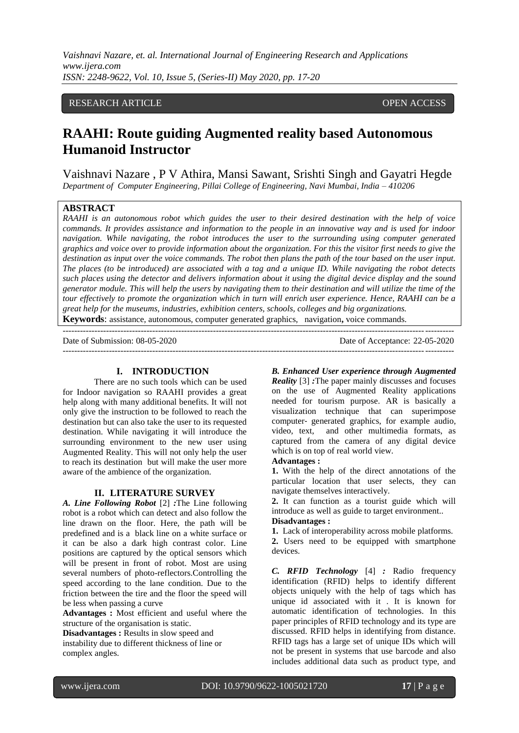*Vaishnavi Nazare, et. al. International Journal of Engineering Research and Applications www.ijera.com ISSN: 2248-9622, Vol. 10, Issue 5, (Series-II) May 2020, pp. 17-20*

## RESEARCH ARTICLE **CONSERVERS** OPEN ACCESS

# **RAAHI: Route guiding Augmented reality based Autonomous Humanoid Instructor**

Vaishnavi Nazare , P V Athira, Mansi Sawant, Srishti Singh and Gayatri Hegde *Department of Computer Engineering, Pillai College of Engineering, Navi Mumbai, India – 410206*

## **ABSTRACT**

*RAAHI is an autonomous robot which guides the user to their desired destination with the help of voice commands. It provides assistance and information to the people in an innovative way and is used for indoor navigation. While navigating, the robot introduces the user to the surrounding using computer generated graphics and voice over to provide information about the organization. For this the visitor first needs to give the destination as input over the voice commands. The robot then plans the path of the tour based on the user input. The places (to be introduced) are associated with a tag and a unique ID. While navigating the robot detects such places using the detector and delivers information about it using the digital device display and the sound generator module. This will help the users by navigating them to their destination and will utilize the time of the tour effectively to promote the organization which in turn will enrich user experience. Hence, RAAHI can be a great help for the museums, industries, exhibition centers, schools, colleges and big organizations.*

**Keywords**: assistance, autonomous, computer generated graphics, navigation**,** voice commands. ---------------------------------------------------------------------------------------------------------------------------------------

Date of Submission: 08-05-2020 Date of Acceptance: 22-05-2020  $-1\leq i\leq n-1$ 

#### **I. INTRODUCTION**

There are no such tools which can be used for Indoor navigation so RAAHI provides a great help along with many additional benefits. It will not only give the instruction to be followed to reach the destination but can also take the user to its requested destination. While navigating it will introduce the surrounding environment to the new user using Augmented Reality. This will not only help the user to reach its destination but will make the user more aware of the ambience of the organization.

#### **II. LITERATURE SURVEY**

*A. Line Following Robot* [2] *:*The Line following robot is a robot which can detect and also follow the line drawn on the floor. Here, the path will be predefined and is a black line on a white surface or it can be also a dark high contrast color. Line positions are captured by the optical sensors which will be present in front of robot. Most are using several numbers of photo-reflectors.Controlling the speed according to the lane condition. Due to the friction between the tire and the floor the speed will be less when passing a curve

**Advantages :** Most efficient and useful where the structure of the organisation is static.

**Disadvantages :** Results in slow speed and instability due to different thickness of line or complex angles.

*B. Enhanced User experience through Augmented* 

*Reality* [3] *:*The paper mainly discusses and focuses on the use of Augmented Reality applications needed for tourism purpose. AR is basically a visualization technique that can superimpose computer‐ generated graphics, for example audio, video, text, and other multimedia formats, as captured from the camera of any digital device which is on top of real world view.

#### **Advantages :**

**1.** With the help of the direct annotations of the particular location that user selects, they can navigate themselves interactively.

**2.** It can function as a tourist guide which will introduce as well as guide to target environment..

# **Disadvantages :**

**1.** Lack of interoperability across mobile platforms. **2.** Users need to be equipped with smartphone devices.

*C. RFID Technology* [4] *:* Radio frequency identification (RFID) helps to identify different objects uniquely with the help of tags which has unique id associated with it . It is known for automatic identification of technologies. In this paper principles of RFID technology and its type are discussed. RFID helps in identifying from distance. RFID tags has a large set of unique IDs which will not be present in systems that use barcode and also includes additional data such as product type, and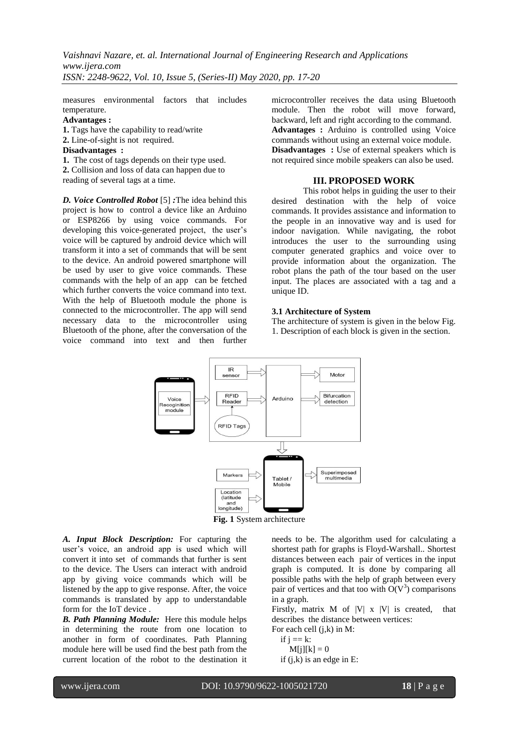measures environmental factors that includes temperature.

# **Advantages :**

**1.** Tags have the capability to read/write **2.** Line-of-sight is not required.

#### **Disadvantages :**

**1.** The cost of tags depends on their type used. **2.** Collision and loss of data can happen due to reading of several tags at a time.

*D. Voice Controlled Robot* [5] *:*The idea behind this project is how to control a device like an Arduino or ESP8266 by using voice commands. For developing this voice-generated project, the user's voice will be captured by android device which will transform it into a set of commands that will be sent to the device. An android powered smartphone will be used by user to give voice commands. These commands with the help of an app can be fetched which further converts the voice command into text. With the help of Bluetooth module the phone is connected to the microcontroller. The app will send necessary data to the microcontroller using Bluetooth of the phone, after the conversation of the voice command into text and then further

microcontroller receives the data using Bluetooth module. Then the robot will move forward, backward, left and right according to the command. **Advantages :** Arduino is controlled using Voice commands without using an external voice module. **Disadvantages** : Use of external speakers which is not required since mobile speakers can also be used.

## **III. PROPOSED WORK**

This robot helps in guiding the user to their desired destination with the help of voice commands. It provides assistance and information to the people in an innovative way and is used for indoor navigation. While navigating, the robot introduces the user to the surrounding using computer generated graphics and voice over to provide information about the organization. The robot plans the path of the tour based on the user input. The places are associated with a tag and a unique ID.

## **3.1 Architecture of System**

The architecture of system is given in the below Fig. 1. Description of each block is given in the section.



**Fig. 1** System architecture

*A. Input Block Description:* For capturing the user's voice, an android app is used which will convert it into set of commands that further is sent to the device. The Users can interact with android app by giving voice commands which will be listened by the app to give response. After, the voice commands is translated by app to understandable form for the IoT device .

*B. Path Planning Module:* Here this module helps in determining the route from one location to another in form of coordinates. Path Planning module here will be used find the best path from the current location of the robot to the destination it needs to be. The algorithm used for calculating a shortest path for [graphs](https://brilliant.org/wiki/graphs/) is Floyd-Warshall.. Shortest distances between each pair of vertices in the input graph is computed. It is done by comparing all possible paths with the help of graph between every pair of vertices and that too with  $O(V^3)$  comparisons in a graph.

Firstly, matrix  $M$  of  $|V|$  x  $|V|$  is created, that describes the distance between vertices:

For each cell (j,k) in M:

$$
\begin{aligned} \text{if } \text{j} &= \text{k:} \\ \text{M[j][k]} &= 0 \end{aligned}
$$

if  $(j,k)$  is an edge in E: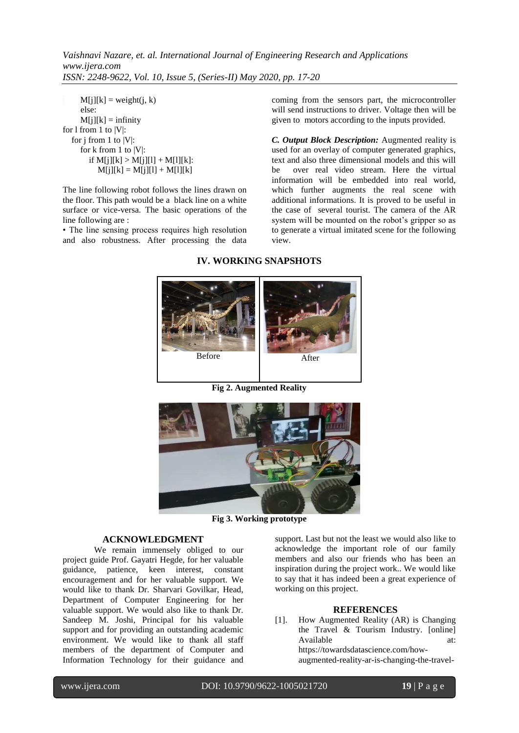*Vaishnavi Nazare, et. al. International Journal of Engineering Research and Applications www.ijera.com ISSN: 2248-9622, Vol. 10, Issue 5, (Series-II) May 2020, pp. 17-20*

 $M[i][k] = weight(i, k)$  else:  $M[i][k] =$  infinity for 1 from 1 to  $|V|$ : for j from 1 to |V|: for k from 1 to |V|: if  $M[i][k] > M[i][l] + M[1][k]$ :  $M[j][k] = M[j][l] + M[1][k]$ 

The line following robot follows the lines drawn on the floor. This path would be a black line on a white surface or vice-versa. The basic operations of the line following are :

• The line sensing process requires high resolution and also robustness. After processing the data coming from the sensors part, the microcontroller will send instructions to driver. Voltage then will be given to motors according to the inputs provided.

*C. Output Block Description:* Augmented reality is used for an overlay of computer generated graphics, text and also three dimensional models and this will<br>be over real video stream. Here the virtual over real video stream. Here the virtual information will be embedded into real world, which further augments the real scene with additional informations. It is proved to be useful in the case of several tourist. The camera of the AR system will be mounted on the robot's gripper so as to generate a virtual imitated scene for the following view.

# **IV. WORKING SNAPSHOTS**



**Fig 2. Augmented Reality**



**Fig 3. Working prototype**

### **ACKNOWLEDGMENT**

We remain immensely obliged to our project guide Prof. Gayatri Hegde, for her valuable guidance, patience, keen interest, constant encouragement and for her valuable support. We would like to thank Dr. Sharvari Govilkar, Head, Department of Computer Engineering for her valuable support. We would also like to thank Dr. Sandeep M. Joshi, Principal for his valuable support and for providing an outstanding academic environment. We would like to thank all staff members of the department of Computer and Information Technology for their guidance and

support. Last but not the least we would also like to acknowledge the important role of our family members and also our friends who has been an inspiration during the project work.. We would like to say that it has indeed been a great experience of working on this project.

#### **REFERENCES**

[1]. How Augmented Reality (AR) is Changing the Travel & Tourism Industry. [online] Available at: https://towardsdatascience.com/howaugmented-reality-ar-is-changing-the-travel-